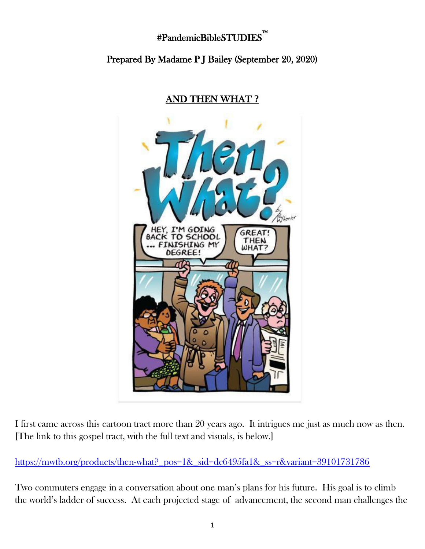## #PandemicBibleSTUDIES™

i<br>L

## Prepared By Madame P J Bailey (September 20, 2020)



## AND THEN WHAT **?**

I first came across this cartoon tract more than 20 years ago. It intrigues me just as much now as then. [The link to this gospel tract, with the full text and visuals, is below.]

[https://mwtb.org/products/then-what?\\_pos=1&\\_sid=dc6495fa1&\\_ss=r&variant=39101731786](https://mwtb.org/products/then-what?_pos=1&_sid=dc6495fa1&_ss=r&variant=39101731786)

Two commuters engage in a conversation about one man's plans for his future. His goal is to climb the world's ladder of success. At each projected stage of advancement, the second man challenges the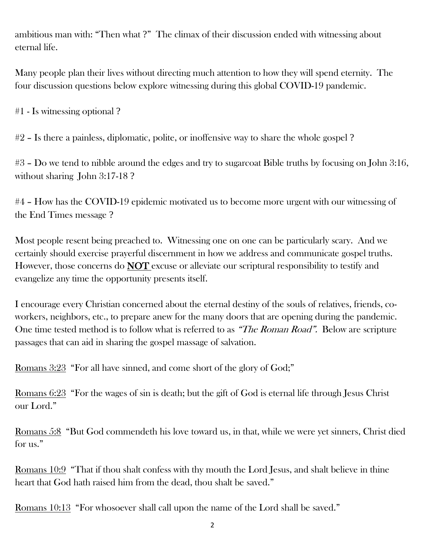ambitious man with: "Then what ?" The climax of their discussion ended with witnessing about eternal life.

Many people plan their lives without directing much attention to how they will spend eternity. The four discussion questions below explore witnessing during this global COVID-19 pandemic.

#1 - Is witnessing optional ?

#2 – Is there a painless, diplomatic, polite, or inoffensive way to share the whole gospel ?

#3 – Do we tend to nibble around the edges and try to sugarcoat Bible truths by focusing on John 3:16, without sharing John 3:17-18 ?

#4 – How has the COVID-19 epidemic motivated us to become more urgent with our witnessing of the End Times message ?

Most people resent being preached to. Witnessing one on one can be particularly scary. And we certainly should exercise prayerful discernment in how we address and communicate gospel truths. However, those concerns do **NOT** excuse or alleviate our scriptural responsibility to testify and evangelize any time the opportunity presents itself.

I encourage every Christian concerned about the eternal destiny of the souls of relatives, friends, coworkers, neighbors, etc., to prepare anew for the many doors that are opening during the pandemic. One time tested method is to follow what is referred to as "The Roman Road". Below are scripture passages that can aid in sharing the gospel massage of salvation.

Romans 3:23 "For all have sinned, and come short of the glory of God;"

Romans 6:23 "For the wages of sin is death; but the gift of God is eternal life through Jesus Christ our Lord."

Romans 5:8 "But God commendeth his love toward us, in that, while we were yet sinners, Christ died for us."

Romans 10:9 "That if thou shalt confess with thy mouth the Lord Jesus, and shalt believe in thine heart that God hath raised him from the dead, thou shalt be saved."

Romans 10:13 "For whosoever shall call upon the name of the Lord shall be saved."